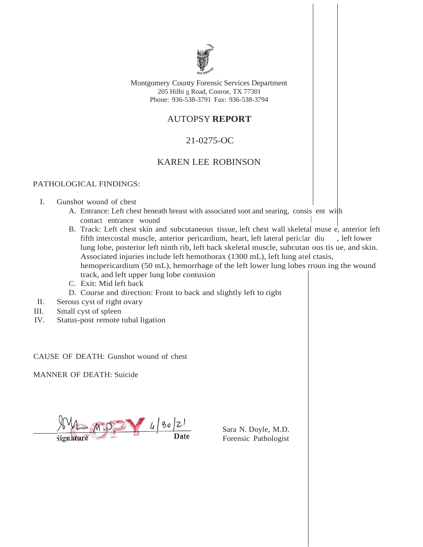

Montgomery County Forensic Services Department 205 Hilbi g Road, Conroe, TX 77301 Phone: 936-538-3791 Fax: 936-538-3794

# AUTOPSY **REPORT**

# 21-0275-OC

## KAREN LEE ROBINSON

### PATHOLOGICAL FINDINGS:

- I. Gunshot wound of chest
	- A. Entrance: Left chest beneath breast with associated soot and searing, consis ent with contact entrance wound
	- B. Track: Left chest skin and subcutaneous tissue, left chest wall skeletal muse e, anterior left fifth intercostal muscle, anterior pericardium, heart, left lateral periclar diu , left lower lung lobe, posterior left ninth rib, left back skeletal muscle, subcutan ous tis ue, and skin. Associated injuries include left hemothorax (1300 mL), left lung atel ctasis, hemopericardium (50 mL), hemorrhage of the left lower lung lobes rroun ing the wound track, and left upper lung lobe contusion
	- C. Exit: Mid left back
	- D. Course and direction: Front to back and slightly left to right
- II. Serous cyst of right ovary
- III. Small cyst of spleen
- IV. Status-post remote tubal ligation

CAUSE OF DEATH: Gunshot wound of chest

MANNER OF DEATH: Suicide

 $4902$ 

Sara N. Doyle, M.D. Forensic Pathologist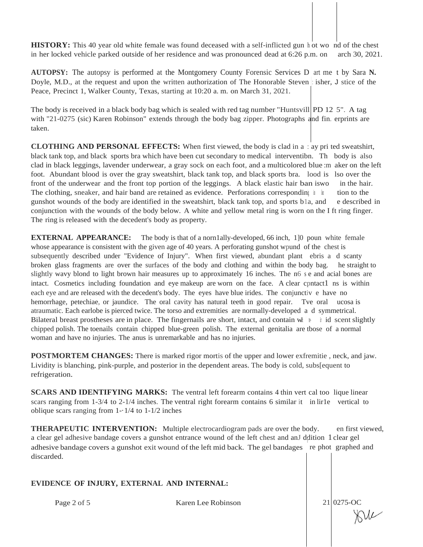**HISTORY:** This 40 year old white female was found deceased with a self-inflicted gun h ot wo nd of the chest in her locked vehicle parked outside of her residence and was pronounced dead at 6:26 p.m. on arch 30, 2021.

**AUTOPSY:** The autopsy is performed at the Montgomery County Forensic Services D art me t by Sara **N.** Doyle, M.D., at the request and upon the written authorization of The Honorable Steven : isher, J stice of the Peace, Precinct 1, Walker County, Texas, starting at 10:20 a. m. on March 31, 2021.

The body is received in a black body bag which is sealed with red tag number "Huntsvill PD 12 5". A tag with "21-0275 (sic) Karen Robinson" extends through the body bag zipper. Photographs and fin. erprints are taken.

**CLOTHING AND PERSONAL EFFECTS:** When first viewed, the body is clad in a : ay pri ted sweatshirt, black tank top, and black sports bra which have been cut secondary to medical interventibn. Th body is also clad in black leggings, lavender underwear, a gray sock on each foot, and a multicolored Jblue :m aker on the left foot. Abundant blood is over the gray sweatshirt, black tank top, and black sports bra. lood is lso over the front of the underwear and the front top portion of the leggings. A black elastic hair ban iswo in the hair. The clothing, sneaker, and hair band are retained as evidence. Perforations corresponding in local tion to the gunshot wounds of the body are identified in the sweatshirt, black tank top, and sports b1a, and e described in conjunction with the wounds of the body below. A white and yellow metal ring is worn on the I ft ring finger. The ring is released with the decedent's body as property.

**EXTERNAL APPEARANCE:** The body is that of a norn1ally-developed, 66 inch, 1<sup>1</sup> [0 poun white female whose appearance is consistent with the given age of 40 years. A perforating gunshot wpund of the chest is subsequently described under "Evidence of Injury". When first viewed, abundant plant ebris a d scanty broken glass fragments are over the surfaces of the body and clothing and within the body bag. he straight to slightly wavy blond to light brown hair measures up to approximately 16 inches. The n6 <sup>s</sup> e and acial bones are intact. Cosmetics including foundation and eye makeup are worn on the face. A clear cpntact1 ns is within each eye and are released with the decedent's body. The eyes have blue irides. The conjunctiv e have no hemorrhage, petechiae, or jaundice. The oral cavity has natural teeth in good repair. Tve oral ucosa is atraumatic. Each earlobe is pierced twice. The torso and extremities are normally-developed a d symmetrical. Bilateral breast prostheses are in place. The fingernails are short, intact, and contain  $w^+$  in id scent slightly chipped polish. The toenails contain chipped blue-green polish. The external genitalia are tbose of a normal woman and have no injuries. The anus is unremarkable and has no injuries.

**POSTMORTEM CHANGES:** There is marked rigor mortis of the upper and lower exfremitie , neck, and jaw. Lividity is blanching, pink-purple, and posterior in the dependent areas. The body is cold, subs[equent to refrigeration.

**SCARS AND IDENTIFYING MARKS:** The ventral left forearm contains 4 thin vert cal too lique linear scars ranging from 1-3/4 to 2-1/4 inches. The ventral right forearm contains 6 similar it in lir1e vertical to oblique scars ranging from  $1 - \frac{1}{4}$  to  $1 - \frac{1}{2}$  inches

**THERAPEUTIC INTERVENTION:** Multiple electrocardiogram pads are over the body. en first viewed, a clear gel adhesive bandage covers a gunshot entrance wound of the left chest and anJ ddition 1 clear gel adhesive bandage covers a gunshot exit wound of the left mid back. The gel bandages re phot graphed and discarded.

### **EVIDENCE OF INJURY, EXTERNAL AND INTERNAL:**

Page 2 of 5 Karen Lee Robinson

 $21 0275-OC$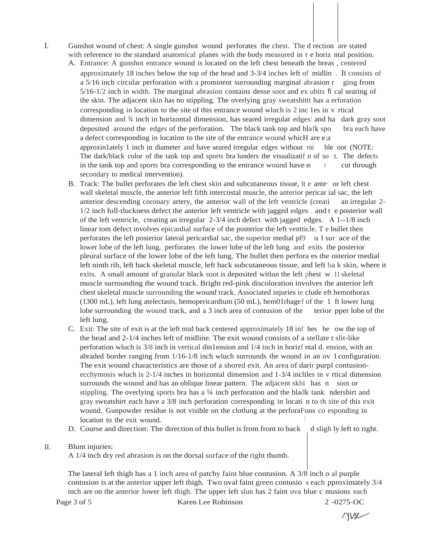- I. Gunshot wound of chest: A single gunshot wound perforates the chest. The d rection are stated with reference to the standard anatomical planes with the body measured in t e horiz ntal position.
	- A. Entrance: A gunshot entrance wound is located on the left chest beneath the breas, centered approximately 18 inches below the top of the head and 3-3/4 inches left of midlin . It consists of a 5/16 inch circular perforation with a prominent surrounding marginal abrasion r ging from 5/16-1/2 inch in width. The marginal abrasion contains dense soot and ex ubits fi cal searing of the skin. The adjacent skin has no stippling. The overlying gray sweatshittt has a erforation Integration of the site of this entrance wound wluch is 2 inc 1es in v rtical<br>corresponding in location to the site of this entrance wound wluch is 2 inc 1es in v rtical dimension and  $\frac{3}{4}$  inch in horizontal dimension, has seared irregular edges and ha dark gray soot deposited around the edges of the perforation. The black tank top and blafk spo bra each have a defect corresponding in location to the site of the entrance wound whicH are e:a approximately 1 inch in diameter and have seared irregular edges without  $\forall$  visi ble oot (NOTE: The dark/black color of the tank top and sports bra lunders the visualizatif n of so t. The defects in the tank top and sports bra corresponding to the entrance wound have  $e^i$  ach between through secondary to medical intervention).
	- B. Track: The bullet perforates the left chest skin and subcutaneous tissue, lt e ante· or left chest wall skeletal muscle, the anterior left fifth intercostal muscle, the anterior pericar ial sac, the left anterior descending coronary artery, the anterior wall of the left ventricle (creati an irregular 2-  $1/2$  inch full-tluckness defect the anterior left ventricle with jagged edges, and t e posterior wall of the left ventricle, creating an irregular 2-3/4 inch defect with jagged edges. A 1--1/8 inch linear tom defect involves epicardial surface of the posterior the left ventticle. T e bullet then perforates the left posterior lateral pericardial sac, the superior medial pl9 ra l sur ace of the lower lobe of the left lung, perforates the lower lobe of the left lung and exits the posterior pleural surface of the lower lobe of the left lung. The bullet then perfora es the osterior medial left ninth rib, left back skeletal muscle, left back subcutaneous tissue, and left ba k skin, where it exits. A small amount of granular black soot is deposited witlun the left phest w . 11 skeletal muscle surrounding the wound track. Bright red-pink discoloration involves the anterior left chest skeletal muscle surrounding the wound track. Associated injuries ie clude eft hemothorax (1300 mL), left lung atelectasis, hemopericardium (50 mL), hem01rhagef of the 1 ft lower lung lobe surrounding the wound track, and a 3 inch area of contusion of the terior pper lobe of the left lung.
	- C. Exit: The site of exit is at the left mid back centered approximately 18 inf hes be ow the top of the head and 2-1/4 inches left of midline. The exit wound consists of a stellate t slit-like perforation wluch is 3/8 inch in vertical din1ension and 1/4 inch in horizf ntal d. ension, with an abraded border ranging from 1/16-1/8 inch wluch surrounds the wound in an ov 1 configuration. The exit wound characteristics are those of a shored exit. An area of darir purpl contusionecchymosis wluch is 2-1/4 inches in horizontal dimension and 1-3/4 incliles in v rtical dimension surrounds the wound and has an oblique linear pattern. The adjacent skhi has n soot or stippling. The overlying sports bra has a  $\frac{1}{4}$  inch perforation and the bladk tank ndershirt and gray sweatshirt each have a 3/8 inch perforation corresponding in locati n to th site of this exit wound. Gunpowder residue is not visible on the clotlung at the perforaFons co esponding in location to the exit wound.
	- D. Course and direction: The direction of this bullet is from front to back d sligh ly left to right.

### II. Blunt injuries:

A 1/4 inch dry red abrasion is on the dorsal surface of the right thumb.

The lateral left thigh has a 1 inch area of patchy faint blue contusion. A 3/8 inch o al purple contusion is at the anterior upper left thigh. Two oval faint green contusio s each pproximately 3/4 inch are on the anterior lower left thigh. The upper left slun has 2 faint ova blue c ntusions each

Page 3 of 5 Karen Lee Robinson 2 -0275-OC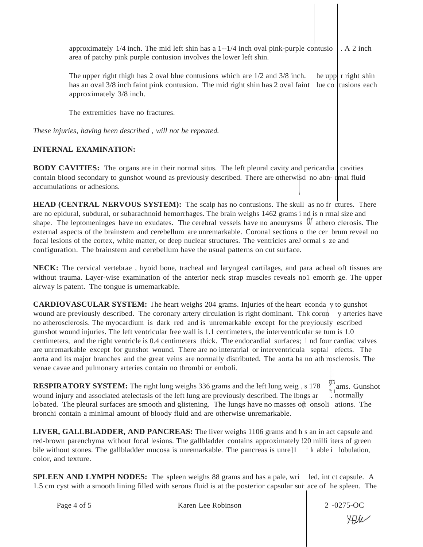approximately 1/4 inch. The mid left shin has a 1--1/4 inch oval pink-purple contusio area of patchy pink purple contusion involves the lower left shin. . A 2 inch

The upper right thigh has 2 oval blue contusions which are  $1/2$  and  $3/8$  inch. he upp r right shin has an oval 3/8 inch faint pink contusion. The mid right shin has 2 oval faint approximately 3/8 inch. lue co tusions each

The extremities have no fractures.

*These injuries, having been described , will not be repeated.*

### **INTERNAL EXAMINATION:**

**BODY CAVITIES:** The organs are in their normal situs. The left pleural cavity and pericardia cavities contain blood secondary to gunshot wound as previously described. There are otherwisd no abn· rmal fluid accumulations or adhesions. j

shape. The leptomeninges have no exudates. The cerebral vessels have no aneurysms  $\mathbb{U}$  athero clerosis. The **HEAD (CENTRAL NERVOUS SYSTEM):** The scalp has no contusions. The skull as no fr ctures. There are no epidural, subdural, or subarachnoid hemorrhages. The brain weighs 1462 grams i nd is n rmal size and external aspects of the brainstem and cerebellum are unremarkable. Coronal sections o the cer brum reveal no focal lesions of the cortex, white matter, or deep nuclear structures. The ventricles areJ ormal s ze and configuration. The brainstem and cerebellum have the usual patterns on cut surface.

**NECK:** The cervical vertebrae , hyoid bone, tracheal and laryngeal cartilages, and para acheal oft tissues are without trauma. Layer-wise examination of the anterior neck strap muscles reveals no1 emorrh ge. The upper airway is patent. The tongue is umemarkable.

**CARDIOVASCULAR SYSTEM:** The heart weighs 204 grams. Injuries of the heart econda y to gunshot wound are previously described. The coronary artery circulation is right dominant. Thk coron y arteries have no atherosclerosis. The myocardium is dark red and is unremarkable except for the preyiously escribed gunshot wound injuries. The left ventricular free wall is 1.1 centimeters, the interventricular se tum is 1.0 centimeters, and the right ventricle is 0.4 centimeters thick. The endocardial surfaces; <sup>I</sup> nd four cardiac valves are unremarkable except for gunshot wound. There are no interatrial or interventricula septal efects. The aorta and its major branches and the great veins are normally distributed. The aorta ha no ath rosclerosis. The venae cavae and pulmonary arteries contain no thrombi or emboli.

**RESPIRATORY SYSTEM:** The right lung weighs 336 grams and the left lung weig , s 178 wound injury and associated atelectasis of the left lung are previously described. The lbngs ar lobated. The pleural surfaces are smooth and glistening. The lungs have no masses of onsoli ations. The bronchi contain a minimal amount of bloody fluid and are otherwise unremarkable.  $\int_{1}^{\frac{1}{2}}$ ams. Gunshot normally

**LIVER, GALLBLADDER, AND PANCREAS:** The liver weighs 1106 grams and h s an in act capsule and red-brown parenchyma without focal lesions. The gallbladder contains approximately !20 milli iters of green bile without stones. The gallbladder mucosa is unremarkable. The pancreas is unre]1 color, and texture. <sup>k</sup> able i lobulation,

**SPLEEN AND LYMPH NODES:** The spleen weighs 88 grams and has a pale, wri led, int ct capsule. A 1.5 cm cyst with a smooth lining filled with serous fluid is at the posterior capsular sur ace of he spleen. The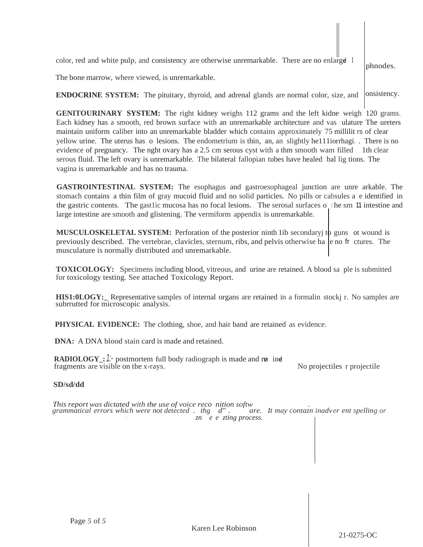color, red and white pulp, and consistency are otherwise unremarkable. There are no enlarge 1 phnodes.

The bone marrow, where viewed, is unremarkable.

**ENDOCRINE SYSTEM:** The pituitary, thyroid, and adrenal glands are normal color, size, and onsistency.

**GENITOURINARY SYSTEM:** The right kidney weighs 112 grams and the left kidne weigh 120 grams. Each kidney has a smooth, red brown surface with an unremarkable architecture and vas ulature The ureters maintain uniform caliber into an unremarkable bladder which contains approximately 75 millilit rs of clear yellow urine. The uterus has o lesions. The endometrium is thin, an, an slightly he111iorrhagi. . There is no evidence of pregnancy. The nght ovary has a 2.5 cm serous cyst with a thm smooth wam filled 1th clear serous fluid. The left ovary is unremarkable. The bilateral fallopian tubes have healed / bal lig tions. The vagina is unremarkable and has no trauma.

**GASTROINTESTINAL SYSTEM:** The esophagus and gastroesophageal junction are unre arkable. The stomach contains a thin film of gray mucoid fluid and no solid particles. No pills or cabsules a e identified in the gastric contents. The gast1ic mucosa has no focal lesions. The serosal surfaces o' the sm 11 intestine and large intestine are smooth and glistening. The vermiform appendix is unremarkable.

**MUSCULOSKELETAL SYSTEM:** Perforation of the posterior ninth 1 ib secondaryj to guns ot wound is previously described. The vertebrae, clavicles, sternum, ribs, and pelvis otherwise ha  $|e|$  no fr ctures. The musculature is normally distributed and unremarkable.

**TOXICOLOGY:** Specimens including blood, vitreous, and urine are retained. A blood sa ple is submitted for toxicology testing. See attached Toxicology Report.

**HIS1:0LOGY:** Representative samples of internal organs are retained in a formalin stockj r. No samples are subrrutted for microscopic analysis.

**PHYSICAL EVIDENCE:** The clothing, shoe, and hair band are retained as evidence.

**DNA:** A DNA blood stain card is made and retained.

**RADIOLOGY:** *1:* postmortem full body radiograph is made and rea ind. fragments are visible on the x-rays. No projectiles r projectile

### **SD/sd/dd**

*This report was dictated with the use of voice reco nition softw* . *grammatical errors which were not detected* . *thg d"* . *are. It may contazn inadv er ent spelling or* ·. *zn e e zting process.*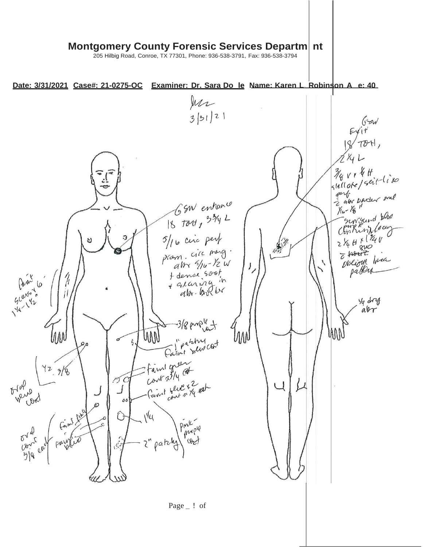# **Montgomery County Forensic Services Departm nt**

205 Hilbig Road, Conroe, TX 77301, Phone: 936-538-3791, Fax: 936-538-3794

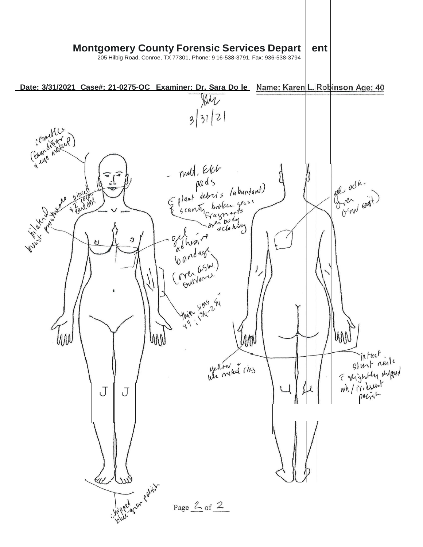#### **Montgomery County Forensic Services Depart ent**

205 Hilbig Road, Conroe, TX 77301, Phone: 9 16-538-3791, Fax: 936-538-3794

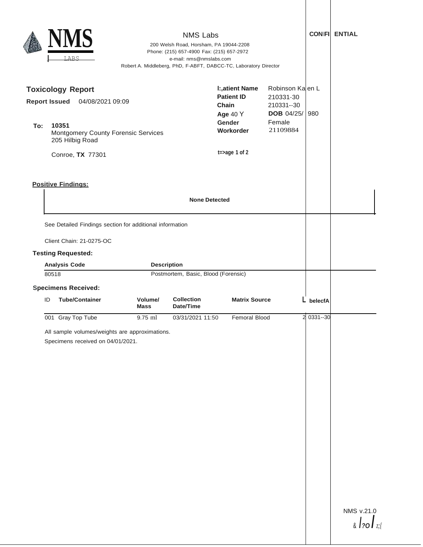| <b>NMS Labs</b><br>200 Welsh Road, Horsham, PA 19044-2208<br>Phone: (215) 657-4900 Fax: (215) 657-2972<br>LABS<br>e-mail: nms@nmslabs.com<br>Robert A. Middleberg, PhD, F-ABFT, DABCC-TC, Laboratory Director |                                                                                                                                     |                        |                                |                                                                                                                      |                                                                                        |              | <b>CONIFI ENTIAL</b>                 |
|---------------------------------------------------------------------------------------------------------------------------------------------------------------------------------------------------------------|-------------------------------------------------------------------------------------------------------------------------------------|------------------------|--------------------------------|----------------------------------------------------------------------------------------------------------------------|----------------------------------------------------------------------------------------|--------------|--------------------------------------|
| <b>Report Issued</b><br>To:                                                                                                                                                                                   | <b>Toxicology Report</b><br>04/08/2021 09:09<br>10351<br>Montgomery County Forensic Services<br>205 Hilbig Road<br>Conroe, TX 77301 |                        |                                | <b>I:, atient Name</b><br><b>Patient ID</b><br>Chain<br><b>Age 40 Y</b><br>Gender<br>Workorder<br>$t = > age 1 of 2$ | Robinson Ka en L<br>210331-30<br>210331--30<br><b>DOB</b> 04/25/<br>Female<br>21109884 | 980          |                                      |
| <b>Positive Findings:</b>                                                                                                                                                                                     |                                                                                                                                     |                        |                                |                                                                                                                      |                                                                                        |              |                                      |
| Client Chain: 21-0275-OC<br><b>Testing Requested:</b><br><b>Analysis Code</b><br><b>Description</b><br>Postmortem, Basic, Blood (Forensic)<br>80518                                                           |                                                                                                                                     |                        |                                |                                                                                                                      |                                                                                        |              |                                      |
| ID                                                                                                                                                                                                            | <b>Specimens Received:</b><br><b>Tube/Container</b>                                                                                 | Volume/<br><b>Mass</b> | <b>Collection</b><br>Date/Time | <b>Matrix Source</b>                                                                                                 |                                                                                        | belecfA      |                                      |
|                                                                                                                                                                                                               | 001 Gray Top Tube<br>All sample volumes/weights are approximations.<br>Specimens received on 04/01/2021.                            | 9.75 ml                | 03/31/2021 11:50               | Femoral Blood                                                                                                        |                                                                                        | 2 0331 -- 30 |                                      |
|                                                                                                                                                                                                               |                                                                                                                                     |                        |                                |                                                                                                                      |                                                                                        |              | NMS v.21.0<br>$\frac{1}{20}$ / $z_i$ |